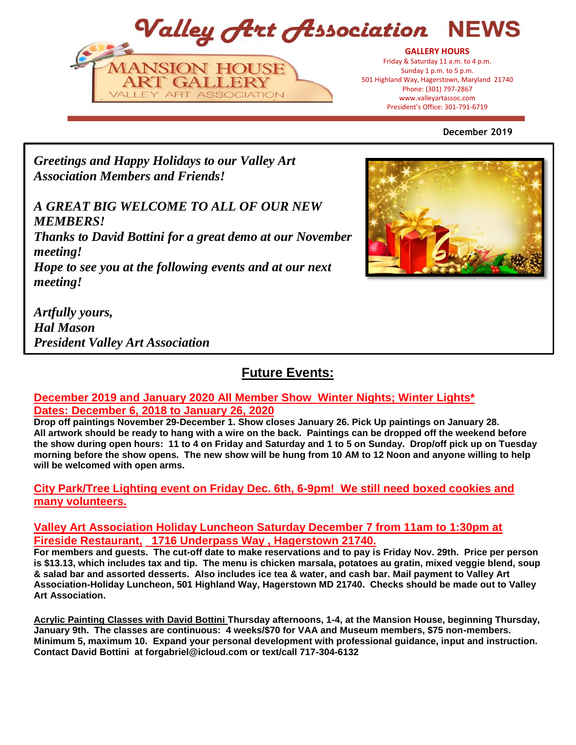Valley Art Association NFW



President's Office: 301-797-6719 President's Office: 301-791-6719**GALLERY HOURS** Friday & Saturday 11 a.m. to 4 p.m. Sunday 1 p.m. to 5 p.m. 501 Highland Way, Hagerstown, Maryland 21740 Phone: (301) 797-2867 www.valleyartassoc.com

## **December 2019**

*Greetings and Happy Holidays to our Valley Art Association Members and Friends!* 

*A GREAT BIG WELCOME TO ALL OF OUR NEW MEMBERS!*

*Thanks to David Bottini for a great demo at our November meeting!* 

*Hope to see you at the following events and at our next meeting!*

*Artfully yours, Hal Mason President Valley Art Association* 

# **Future Events:**

# **December 2019 and January 2020 All Member Show Winter Nights; Winter Lights\* Dates: December 6, 2018 to January 26, 2020**

**Drop off paintings November 29-December 1. Show closes January 26. Pick Up paintings on January 28. All artwork should be ready to hang with a wire on the back. Paintings can be dropped off the weekend before the show during open hours: 11 to 4 on Friday and Saturday and 1 to 5 on Sunday. Drop/off pick up on Tuesday morning before the show opens. The new show will be hung from 10 AM to 12 Noon and anyone willing to help will be welcomed with open arms.** 

# **City Park/Tree Lighting event on Friday Dec. 6th, 6-9pm! We still need boxed cookies and many volunteers.**

# **Valley Art Association Holiday Luncheon Saturday December 7 from 11am to 1:30pm at Fireside Restaurant, 1716 Underpass Way , Hagerstown 21740.**

**For members and guests. The cut-off date to make reservations and to pay is Friday Nov. 29th. Price per person is \$13.13, which includes tax and tip. The menu is chicken marsala, potatoes au gratin, mixed veggie blend, soup & salad bar and assorted desserts. Also includes ice tea & water, and cash bar. Mail payment to Valley Art Association-Holiday Luncheon, 501 Highland Way, Hagerstown MD 21740. Checks should be made out to Valley Art Association.**

**Acrylic Painting Classes with David Bottini Thursday afternoons, 1-4, at the Mansion House, beginning Thursday, January 9th. The classes are continuous: 4 weeks/\$70 for VAA and Museum members, \$75 non-members. Minimum 5, maximum 10. Expand your personal development with professional guidance, input and instruction. Contact David Bottini at forgabriel@icloud.com or text/call 717-304-6132**

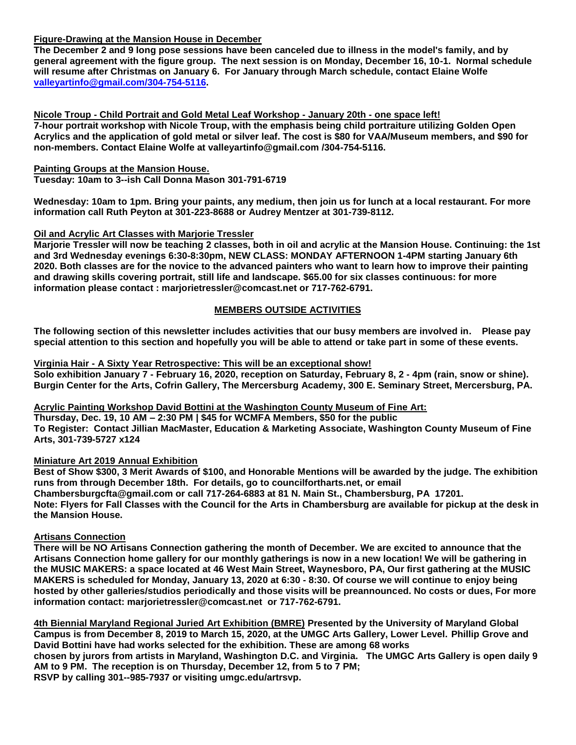### **Figure-Drawing at the Mansion House in December**

**The December 2 and 9 long pose sessions have been canceled due to illness in the model's family, and by general agreement with the figure group. The next session is on Monday, December 16, 10-1. Normal schedule will resume after Christmas on January 6. For January through March schedule, contact Elaine Wolfe [valleyartinfo@gmail.com/304-754-5116.](mailto:valleyartinfo@gmail.com/304-754-5116)**

**Nicole Troup - Child Portrait and Gold Metal Leaf Workshop - January 20th - one space left! 7-hour portrait workshop with Nicole Troup, with the emphasis being child portraiture utilizing Golden Open Acrylics and the application of gold metal or silver leaf. The cost is \$80 for VAA/Museum members, and \$90 for non-members. Contact Elaine Wolfe at valleyartinfo@gmail.com /304-754-5116.**

### **Painting Groups at the Mansion House.**

**Tuesday: 10am to 3--ish Call Donna Mason 301-791-6719**

**Wednesday: 10am to 1pm. Bring your paints, any medium, then join us for lunch at a local restaurant. For more information call Ruth Peyton at 301-223-8688 or Audrey Mentzer at 301-739-8112.**

### **Oil and Acrylic Art Classes with Marjorie Tressler**

**Marjorie Tressler will now be teaching 2 classes, both in oil and acrylic at the Mansion House. Continuing: the 1st and 3rd Wednesday evenings 6:30-8:30pm, NEW CLASS: MONDAY AFTERNOON 1-4PM starting January 6th 2020. Both classes are for the novice to the advanced painters who want to learn how to improve their painting and drawing skills covering portrait, still life and landscape. \$65.00 for six classes continuous: for more information please contact : marjorietressler@comcast.net or 717-762-6791.**

# **MEMBERS OUTSIDE ACTIVITIES**

**The following section of this newsletter includes activities that our busy members are involved in. Please pay special attention to this section and hopefully you will be able to attend or take part in some of these events.**

#### **Virginia Hair - A Sixty Year Retrospective: This will be an exceptional show!**

**Solo exhibition January 7 - February 16, 2020, reception on Saturday, February 8, 2 - 4pm (rain, snow or shine). Burgin Center for the Arts, Cofrin Gallery, The Mercersburg Academy, 300 E. Seminary Street, Mercersburg, PA.**

#### **Acrylic Painting Workshop David Bottini at the Washington County Museum of Fine Art:**

**Thursday, Dec. 19, 10 AM – 2:30 PM | \$45 for WCMFA Members, \$50 for the public To Register: Contact Jillian MacMaster, Education & Marketing Associate, Washington County Museum of Fine Arts, 301-739-5727 x124**

#### **Miniature Art 2019 Annual Exhibition**

**Best of Show \$300, 3 Merit Awards of \$100, and Honorable Mentions will be awarded by the judge. The exhibition runs from through December 18th. For details, go to councilfortharts.net, or email Chambersburgcfta@gmail.com or call 717-264-6883 at 81 N. Main St., Chambersburg, PA 17201. Note: Flyers for Fall Classes with the Council for the Arts in Chambersburg are available for pickup at the desk in the Mansion House.**

### **Artisans Connection**

**There will be NO Artisans Connection gathering the month of December. We are excited to announce that the Artisans Connection home gallery for our monthly gatherings is now in a new location! We will be gathering in the MUSIC MAKERS: a space located at 46 West Main Street, Waynesboro, PA, Our first gathering at the MUSIC MAKERS is scheduled for Monday, January 13, 2020 at 6:30 - 8:30. Of course we will continue to enjoy being hosted by other galleries/studios periodically and those visits will be preannounced. No costs or dues, For more information contact: marjorietressler@comcast.net or 717-762-6791.**

**4th Biennial Maryland Regional Juried Art Exhibition (BMRE) Presented by the University of Maryland Global Campus is from December 8, 2019 to March 15, 2020, at the UMGC Arts Gallery, Lower Level. Phillip Grove and David Bottini have had works selected for the exhibition. These are among 68 works chosen by jurors from artists in Maryland, Washington D.C. and Virginia. The UMGC Arts Gallery is open daily 9 AM to 9 PM. The reception is on Thursday, December 12, from 5 to 7 PM; RSVP by calling 301--985-7937 or visiting umgc.edu/artrsvp.**